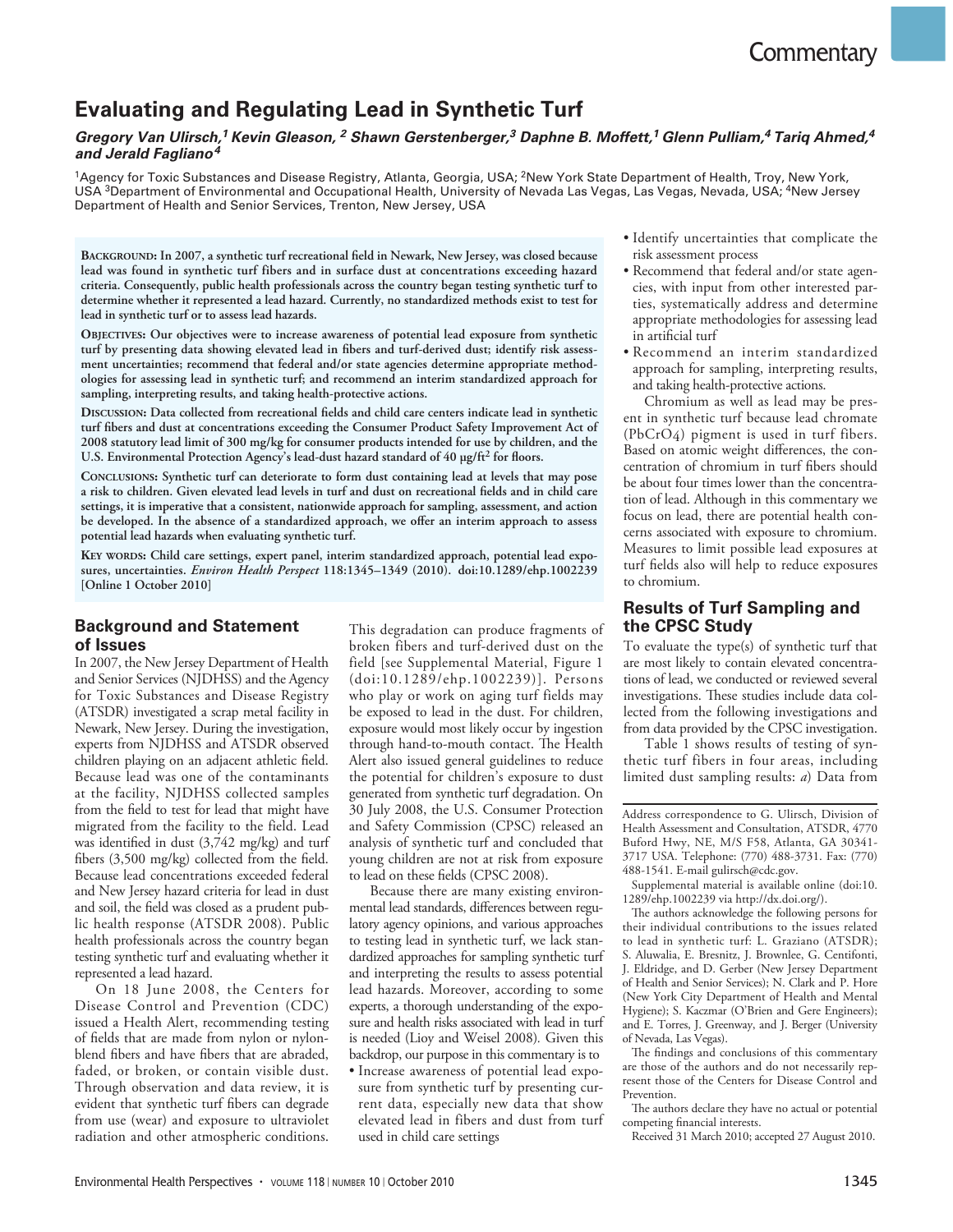# **Commentary**

# **Evaluating and Regulating Lead in Synthetic Turf**

#### **Gregory Van Ulirsch,<sup>1</sup> Kevin Gleason, <sup>2</sup> Shawn Gerstenberger,<sup>3</sup> Daphne B. Moffett,<sup>1</sup> Glenn Pulliam,<sup>4</sup> Tariq Ahmed,<sup>4</sup> and Jerald Fagliano<sup>4</sup>**

<sup>1</sup>Agency for Toxic Substances and Disease Registry, Atlanta, Georgia, USA; <sup>2</sup>New York State Department of Health, Troy, New York, USA <sup>3</sup>Department of Environmental and Occupational Health, University of Nevada Las Vegas, Las Vegas, Nevada, USA; 4New Jersey Department of Health and Senior Services, Trenton, New Jersey, USA

**BACKGROUND: In 2007, a synthetic turf recreational field in Newark, New Jersey, was closed because lead was found in synthetic turf fibers and in surface dust at concentrations exceeding hazard criteria. Consequently, public health professionals across the country began testing synthetic turf to determine whether it represented a lead hazard. Currently, no standardized methods exist to test for lead in synthetic turf or to assess lead hazards.** 

**OBJECTIVES: Our objectives were to increase awareness of potential lead exposure from synthetic turf by presenting data showing elevated lead in fibers and turf-derived dust; identify risk assessment uncertainties; recommend that federal and/or state agencies determine appropriate methodologies for assessing lead in synthetic turf; and recommend an interim standardized approach for sampling, interpreting results, and taking health-protective actions.**

**DISCUSSION: Data collected from recreational fields and child care centers indicate lead in synthetic turf fibers and dust at concentrations exceeding the Consumer Product Safety Improvement Act of 2008 statutory lead limit of 300 mg/kg for consumer products intended for use by children, and the**  U.S. Environmental Protection Agency's lead-dust hazard standard of 40 µg/ft<sup>2</sup> for floors.

**CONCLUSIONS: Synthetic turf can deteriorate to form dust containing lead at levels that may pose a risk to children. Given elevated lead levels in turf and dust on recreational fields and in child care settings, it is imperative that a consistent, nationwide approach for sampling, assessment, and action be developed. In the absence of a standardized approach, we offer an interim approach to assess potential lead hazards when evaluating synthetic turf.** 

**KEY WORDS: Child care settings, expert panel, interim standardized approach, potential lead exposures, uncertainties.** *Environ Health Perspect* **118:1345–1349 (2010). doi:10.1289/ehp.1002239 [Online 1 October 2010]**

# **Background and Statement of Issues**

In 2007, the New Jersey Department of Health and Senior Services (NJDHSS) and the Agency for Toxic Substances and Disease Registry (ATSDR) investigated a scrap metal facility in Newark, New Jersey. During the investigation, experts from NJDHSS and ATSDR observed children playing on an adjacent athletic field. Because lead was one of the contaminants at the facility, NJDHSS collected samples from the field to test for lead that might have migrated from the facility to the field. Lead was identified in dust (3,742 mg/kg) and turf fibers (3,500 mg/kg) collected from the field. Because lead concentrations exceeded federal and New Jersey hazard criteria for lead in dust and soil, the field was closed as a prudent public health response (ATSDR 2008). Public health professionals across the country began testing synthetic turf and evaluating whether it represented a lead hazard.

On 18 June 2008, the Centers for Disease Control and Prevention (CDC) issued a Health Alert, recommending testing of fields that are made from nylon or nylonblend fibers and have fibers that are abraded, faded, or broken, or contain visible dust. Through observation and data review, it is evident that synthetic turf fibers can degrade from use (wear) and exposure to ultraviolet radiation and other atmospheric conditions.

This degradation can produce fragments of broken fibers and turf-derived dust on the field [see Supplemental Material, Figure 1 (doi:10.1289/ehp.1002239)]. Persons who play or work on aging turf fields may be exposed to lead in the dust. For children, exposure would most likely occur by ingestion through hand-to-mouth contact. The Health Alert also issued general guidelines to reduce the potential for children's exposure to dust generated from synthetic turf degradation. On 30 July 2008, the U.S. Consumer Protection and Safety Commission (CPSC) released an analysis of synthetic turf and concluded that young children are not at risk from exposure to lead on these fields (CPSC 2008).

Because there are many existing environmental lead standards, differences between regulatory agency opinions, and various approaches to testing lead in synthetic turf, we lack standardized approaches for sampling synthetic turf and interpreting the results to assess potential lead hazards. Moreover, according to some experts, a thorough understanding of the exposure and health risks associated with lead in turf is needed (Lioy and Weisel 2008)*.* Given this backdrop, our purpose in this commentary is to

• Increase awareness of potential lead exposure from synthetic turf by presenting current data, especially new data that show elevated lead in fibers and dust from turf used in child care settings

- Identify uncertainties that complicate the risk assessment process
- Recommend that federal and/or state agencies, with input from other interested parties, systematically address and determine appropriate methodologies for assessing lead in artificial turf
- Recommend an interim standardized approach for sampling, interpreting results, and taking health-protective actions.

Chromium as well as lead may be present in synthetic turf because lead chromate (PbCrO4) pigment is used in turf fibers. Based on atomic weight differences, the concentration of chromium in turf fibers should be about four times lower than the concentration of lead. Although in this commentary we focus on lead, there are potential health concerns associated with exposure to chromium. Measures to limit possible lead exposures at turf fields also will help to reduce exposures to chromium.

# **Results of Turf Sampling and the CPSC Study**

To evaluate the type(s) of synthetic turf that are most likely to contain elevated concentrations of lead, we conducted or reviewed several investigations. These studies include data collected from the following investigations and from data provided by the CPSC investigation.

Table 1 shows results of testing of synthetic turf fibers in four areas, including limited dust sampling results: *a*) Data from

Address correspondence to G. Ulirsch, Division of Health Assessment and Consultation, ATSDR, 4770 Buford Hwy, NE, M/S F58, Atlanta, GA 30341- 3717 USA. Telephone: (770) 488-3731. Fax: (770) 488-1541. E-mail gulirsch@cdc.gov.

Supplemental material is available online (doi:10. 1289/ehp.1002239 via http://dx.doi.org/).

The authors acknowledge the following persons for their individual contributions to the issues related to lead in synthetic turf: L. Graziano (ATSDR); S. Aluwalia, E. Bresnitz, J. Brownlee, G. Centifonti, J. Eldridge, and D. Gerber (New Jersey Department of Health and Senior Services); N. Clark and P. Hore (New York City Department of Health and Mental Hygiene); S. Kaczmar (O'Brien and Gere Engineers); and E. Torres, J. Greenway, and J. Berger (University of Nevada, Las Vegas).

The findings and conclusions of this commentary are those of the authors and do not necessarily represent those of the Centers for Disease Control and Prevention.

The authors declare they have no actual or potential competing financial interests.

Received 31 March 2010; accepted 27 August 2010.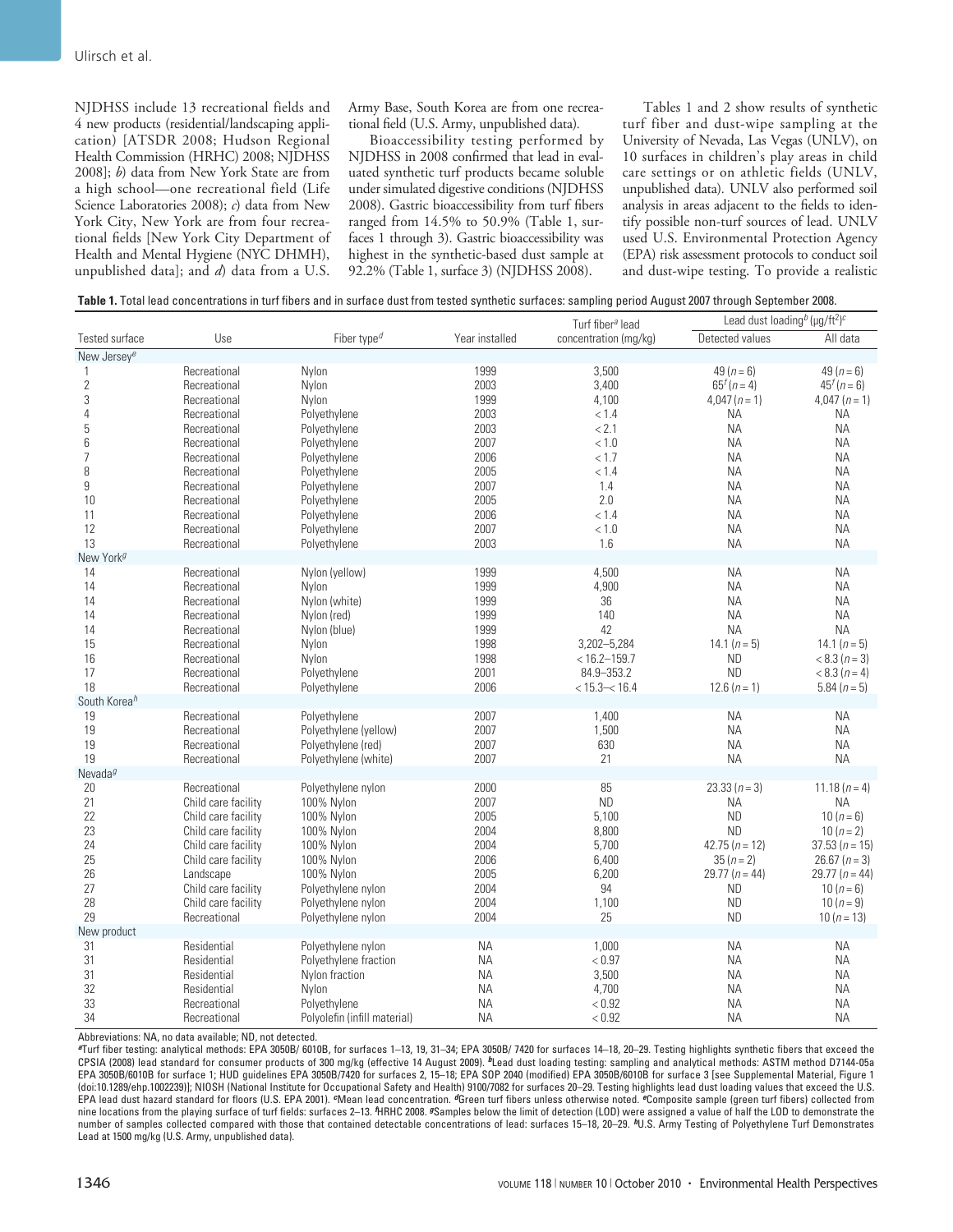NJDHSS include 13 recreational fields and 4 new products (residential/landscaping application) [ATSDR 2008; Hudson Regional Health Commission (HRHC) 2008; NJDHSS 2008]; *b*) data from New York State are from a high school—one recreational field (Life Science Laboratories 2008); *c*) data from New York City, New York are from four recreational fields [New York City Department of Health and Mental Hygiene (NYC DHMH), unpublished data]; and *d*) data from a U.S.

Army Base, South Korea are from one recreational field (U.S. Army, unpublished data)*.*

Bioaccessibility testing performed by NJDHSS in 2008 confirmed that lead in evaluated synthetic turf products became soluble under simulated digestive conditions (NJDHSS 2008). Gastric bioaccessibility from turf fibers ranged from 14.5% to 50.9% (Table 1, surfaces 1 through 3). Gastric bioaccessibility was highest in the synthetic-based dust sample at 92.2% (Table 1, surface 3) (NJDHSS 2008).

Tables 1 and 2 show results of synthetic turf fiber and dust-wipe sampling at the University of Nevada, Las Vegas (UNLV), on 10 surfaces in children's play areas in child care settings or on athletic fields (UNLV, unpublished data)*.* UNLV also performed soil analysis in areas adjacent to the fields to identify possible non-turf sources of lead. UNLV used U.S. Environmental Protection Agency (EPA) risk assessment protocols to conduct soil and dust-wipe testing. To provide a realistic

| Table 1. Total lead concentrations in turf fibers and in surface dust from tested synthetic surfaces: sampling period August 2007 through September 2008. |  |  |  |
|-----------------------------------------------------------------------------------------------------------------------------------------------------------|--|--|--|
|-----------------------------------------------------------------------------------------------------------------------------------------------------------|--|--|--|

|                          |                     |                                      |                | Turf fiber <sup>a</sup> lead | Lead dust loading <sup>b</sup> (µg/ft <sup>2</sup> ) <sup>c</sup> |                    |
|--------------------------|---------------------|--------------------------------------|----------------|------------------------------|-------------------------------------------------------------------|--------------------|
| Tested surface           | Use                 | Fiber type <sup><math>d</math></sup> | Year installed | concentration (mg/kg)        | Detected values                                                   | All data           |
| New Jersey <sup>e</sup>  |                     |                                      |                |                              |                                                                   |                    |
| 1                        | Recreational        | Nylon                                | 1999           | 3,500                        | 49 $(n = 6)$                                                      | 49 $(n = 6)$       |
| $\overline{2}$           | Recreational        | Nylon                                | 2003           | 3,400                        | $65^{f}(n=4)$                                                     | $45^{f}(n=6)$      |
| 3                        | Recreational        | Nylon                                | 1999           | 4,100                        | $4,047(n=1)$                                                      | $4,047(n=1)$       |
| 4                        | Recreational        | Polyethylene                         | 2003           | < 1.4                        | <b>NA</b>                                                         | <b>NA</b>          |
| 5                        | Recreational        | Polyethylene                         | 2003           | < 2.1                        | <b>NA</b>                                                         | <b>NA</b>          |
| 6                        | Recreational        | Polyethylene                         | 2007           | < 1.0                        | <b>NA</b>                                                         | <b>NA</b>          |
| $\overline{7}$           | Recreational        | Polyethylene                         | 2006           | < 1.7                        | <b>NA</b>                                                         | <b>NA</b>          |
| 8                        | Recreational        | Polyethylene                         | 2005           | < 1.4                        | <b>NA</b>                                                         | <b>NA</b>          |
| 9                        | Recreational        | Polyethylene                         | 2007           | 1.4                          | <b>NA</b>                                                         | <b>NA</b>          |
| 10                       | Recreational        | Polyethylene                         | 2005           | 2.0                          | <b>NA</b>                                                         | <b>NA</b>          |
| 11                       | Recreational        | Polyethylene                         | 2006           | < 1.4                        | <b>NA</b>                                                         | <b>NA</b>          |
| 12                       | Recreational        | Polyethylene                         | 2007           | < 1.0                        | <b>NA</b>                                                         | <b>NA</b>          |
| 13                       | Recreational        | Polyethylene                         | 2003           | 1.6                          | <b>NA</b>                                                         | <b>NA</b>          |
| New York <sup>g</sup>    |                     |                                      |                |                              |                                                                   |                    |
| 14                       | Recreational        | Nylon (yellow)                       | 1999           | 4,500                        | <b>NA</b>                                                         | <b>NA</b>          |
| 14                       | Recreational        | Nylon                                | 1999           | 4,900                        | <b>NA</b>                                                         | <b>NA</b>          |
| 14                       | Recreational        | Nylon (white)                        | 1999           | 36                           | <b>NA</b>                                                         | <b>NA</b>          |
| 14                       | Recreational        | Nylon (red)                          | 1999           | 140                          | <b>NA</b>                                                         | <b>NA</b>          |
| 14                       | Recreational        | Nylon (blue)                         | 1999           | 42                           | <b>NA</b>                                                         | <b>NA</b>          |
| 15                       | Recreational        | Nylon                                | 1998           | 3,202-5,284                  | 14.1 $(n = 5)$                                                    | 14.1 $(n=5)$       |
| 16                       | Recreational        | Nylon                                | 1998           | $< 16.2 - 159.7$             | <b>ND</b>                                                         | $< 8.3 (n = 3)$    |
| 17                       | Recreational        | Polyethylene                         | 2001           | 84.9-353.2                   | <b>ND</b>                                                         | $< 8.3 (n = 4)$    |
| 18                       | Recreational        | Polyethylene                         | 2006           | $< 15.3 - < 16.4$            | $12.6(n=1)$                                                       | 5.84 $(n = 5)$     |
| South Korea <sup>h</sup> |                     |                                      |                |                              |                                                                   |                    |
| 19                       | Recreational        | Polyethylene                         | 2007           | 1,400                        | <b>NA</b>                                                         | ΝA                 |
| 19                       | Recreational        | Polyethylene (yellow)                | 2007           | 1,500                        | <b>NA</b>                                                         | <b>NA</b>          |
| 19                       | Recreational        | Polyethylene (red)                   | 2007           | 630                          | <b>NA</b>                                                         | <b>NA</b>          |
| 19                       | Recreational        | Polyethylene (white)                 | 2007           | 21                           | <b>NA</b>                                                         | <b>NA</b>          |
| Nevada <sup>g</sup>      |                     |                                      |                |                              |                                                                   |                    |
| 20                       | Recreational        | Polyethylene nylon                   | 2000           | 85                           | $23.33(n=3)$                                                      | 11.18 $(n = 4)$    |
| 21                       | Child care facility | 100% Nylon                           | 2007           | <b>ND</b>                    | <b>NA</b>                                                         | <b>NA</b>          |
| 22                       | Child care facility | 100% Nylon                           | 2005           | 5,100                        | <b>ND</b>                                                         | 10 $(n = 6)$       |
| 23                       | Child care facility | 100% Nylon                           | 2004           | 8,800                        | <b>ND</b>                                                         | 10 $(n=2)$         |
| 24                       | Child care facility | 100% Nylon                           | 2004           | 5,700                        | $42.75(n = 12)$                                                   | $37.53(n = 15)$    |
| 25                       | Child care facility | 100% Nylon                           | 2006           | 6,400                        | $35 (n = 2)$                                                      | 26.67 ( $n = 3$ )  |
| 26                       | Landscape           | 100% Nylon                           | 2005           | 6,200                        | 29.77 ( $n = 44$ )                                                | 29.77 ( $n = 44$ ) |
| 27                       | Child care facility | Polyethylene nylon                   | 2004           | 94                           | <b>ND</b>                                                         | $10(n-6)$          |
| 28                       | Child care facility | Polyethylene nylon                   | 2004           | 1,100                        | <b>ND</b>                                                         | 10 $(n = 9)$       |
| 29                       | Recreational        | Polyethylene nylon                   | 2004           | 25                           | <b>ND</b>                                                         | 10 $(n = 13)$      |
| New product              |                     |                                      |                |                              |                                                                   |                    |
| 31                       | Residential         | Polyethylene nylon                   | ΝA             | 1,000                        | <b>NA</b>                                                         | <b>NA</b>          |
| 31                       | Residential         | Polyethylene fraction                | <b>NA</b>      | < 0.97                       | <b>NA</b>                                                         | <b>NA</b>          |
| 31                       | Residential         | Nylon fraction                       | ΝA             | 3,500                        | <b>NA</b>                                                         | <b>NA</b>          |
| 32                       | Residential         | Nylon                                | <b>NA</b>      | 4,700                        | <b>NA</b>                                                         | <b>NA</b>          |
| 33                       | Recreational        | Polyethylene                         | ΝA             | < 0.92                       | <b>NA</b>                                                         | <b>NA</b>          |
| 34                       | Recreational        | Polyolefin (infill material)         | <b>NA</b>      | < 0.92                       | <b>NA</b>                                                         | <b>NA</b>          |

Abbreviations: NA, no data available; ND, not detected.

**<sup>a</sup>**Turf fiber testing: analytical methods: EPA 3050B/ 6010B, for surfaces 1–13, 19, 31–34; EPA 3050B/ 7420 for surfaces 14–18, 20–29. Testing highlights synthetic fibers that exceed the CPSIA (2008) lead standard for consumer products of 300 mg/kg (effective 14 August 2009). <sup>b</sup>Lead dust loading testing: sampling and analytical methods: ASTM method D7144-05a EPA 3050B/6010B for surface 1; HUD guidelines EPA 3050B/7420 for surfaces 2, 15–18; EPA SOP 2040 (modified) EPA 3050B/6010B for surface 3 [see Supplemental Material, Figure 1 (doi:10.1289/ehp.1002239)]; NIOSH (National Institute for Occupational Safety and Health) 9100/7082 for surfaces 20–29. Testing highlights lead dust loading values that exceed the U.S. EPA lead dust hazard standard for floors (U.S. EPA 2001). **c**Mean lead concentration. **d**Green turf fibers unless otherwise noted. **e**Composite sample (green turf fibers) collected from nine locations from the playing surface of turf fields: surfaces 2–13. **f**HRHC 2008. **g**Samples below the limit of detection (LOD) were assigned a value of half the LOD to demonstrate the number of samples collected compared with those that contained detectable concentrations of lead: surfaces 15–18, 20–29. **h**U.S. Army Testing of Polyethylene Turf Demonstrates Lead at 1500 mg/kg (U.S. Army, unpublished data).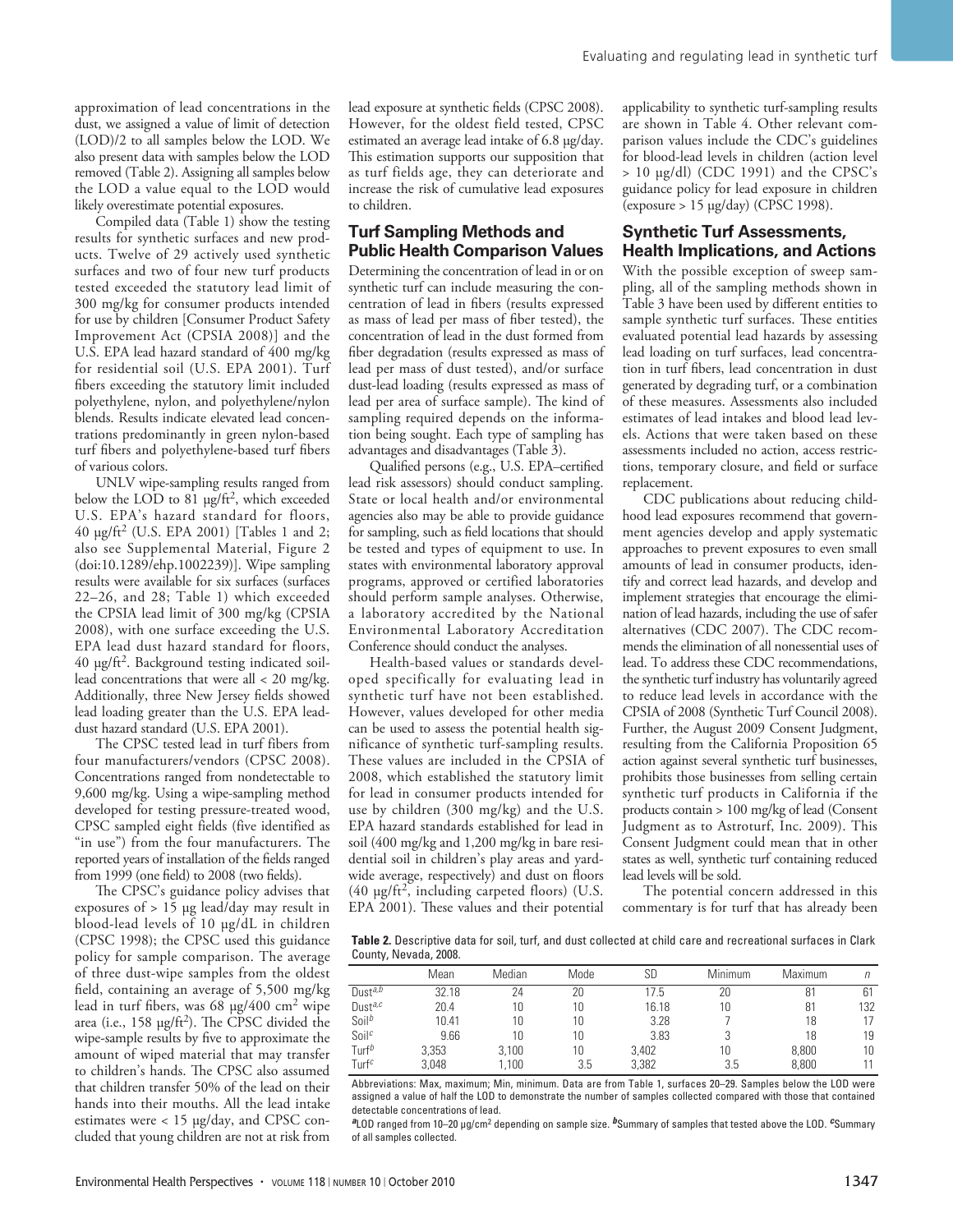approximation of lead concentrations in the dust, we assigned a value of limit of detection (LOD)/2 to all samples below the LOD. We also present data with samples below the LOD removed (Table 2). Assigning all samples below the LOD a value equal to the LOD would likely overestimate potential exposures.

Compiled data (Table 1) show the testing results for synthetic surfaces and new products. Twelve of 29 actively used synthetic surfaces and two of four new turf products tested exceeded the statutory lead limit of 300 mg/kg for consumer products intended for use by children [Consumer Product Safety Improvement Act (CPSIA 2008)] and the U.S. EPA lead hazard standard of 400 mg/kg for residential soil (U.S. EPA 2001). Turf fibers exceeding the statutory limit included polyethylene, nylon, and polyethylene/nylon blends. Results indicate elevated lead concentrations predominantly in green nylon-based turf fibers and polyethylene-based turf fibers of various colors.

UNLV wipe-sampling results ranged from below the LOD to 81 µg/ft<sup>2</sup>, which exceeded U.S. EPA's hazard standard for floors, 40 µg/ft<sup>2</sup> (U.S. EPA 2001) [Tables 1 and 2; also see Supplemental Material, Figure 2 (doi:10.1289/ehp.1002239)]. Wipe sampling results were available for six surfaces (surfaces 22–26, and 28; Table 1) which exceeded the CPSIA lead limit of 300 mg/kg (CPSIA 2008), with one surface exceeding the U.S. EPA lead dust hazard standard for floors, 40 µg/ft<sup>2</sup>. Background testing indicated soillead concentrations that were all < 20 mg/kg. Additionally, three New Jersey fields showed lead loading greater than the U.S. EPA leaddust hazard standard (U.S. EPA 2001).

The CPSC tested lead in turf fibers from four manufacturers/vendors (CPSC 2008). Concentrations ranged from nondetectable to 9,600 mg/kg. Using a wipe-sampling method developed for testing pressure-treated wood, CPSC sampled eight fields (five identified as "in use") from the four manufacturers. The reported years of installation of the fields ranged from 1999 (one field) to 2008 (two fields).

The CPSC's guidance policy advises that exposures of  $> 15 \mu g$  lead/day may result in blood-lead levels of 10 µg/dL in children (CPSC 1998); the CPSC used this guidance policy for sample comparison. The average of three dust-wipe samples from the oldest field, containing an average of 5,500 mg/kg lead in turf fibers, was 68 µg/400 cm<sup>2</sup> wipe area (i.e.,  $158 \text{ µg/ft}^2$ ). The CPSC divided the wipe-sample results by five to approximate the amount of wiped material that may transfer to children's hands. The CPSC also assumed that children transfer 50% of the lead on their hands into their mouths. All the lead intake estimates were < 15 µg/day, and CPSC concluded that young children are not at risk from

lead exposure at synthetic fields (CPSC 2008). However, for the oldest field tested, CPSC estimated an average lead intake of 6.8 µg/day. This estimation supports our supposition that as turf fields age, they can deteriorate and increase the risk of cumulative lead exposures to children.

### **Turf Sampling Methods and Public Health Comparison Values**

Determining the concentration of lead in or on synthetic turf can include measuring the concentration of lead in fibers (results expressed as mass of lead per mass of fiber tested), the concentration of lead in the dust formed from fiber degradation (results expressed as mass of lead per mass of dust tested), and/or surface dust-lead loading (results expressed as mass of lead per area of surface sample). The kind of sampling required depends on the information being sought. Each type of sampling has advantages and disadvantages (Table 3).

Qualified persons (e.g., U.S. EPA–certified lead risk assessors) should conduct sampling. State or local health and/or environmental agencies also may be able to provide guidance for sampling, such as field locations that should be tested and types of equipment to use. In states with environmental laboratory approval programs, approved or certified laboratories should perform sample analyses. Otherwise, a laboratory accredited by the National Environmental Laboratory Accreditation Conference should conduct the analyses.

Health-based values or standards developed specifically for evaluating lead in synthetic turf have not been established. However, values developed for other media can be used to assess the potential health significance of synthetic turf-sampling results. These values are included in the CPSIA of 2008, which established the statutory limit for lead in consumer products intended for use by children (300 mg/kg) and the U.S. EPA hazard standards established for lead in soil (400 mg/kg and 1,200 mg/kg in bare residential soil in children's play areas and yardwide average, respectively) and dust on floors  $(40 \text{ µg/ft}^2, \text{ including carpeted floors})$  (U.S. EPA 2001). These values and their potential

applicability to synthetic turf-sampling results are shown in Table 4. Other relevant comparison values include the CDC's guidelines for blood-lead levels in children (action level > 10 µg/dl) (CDC 1991) and the CPSC's guidance policy for lead exposure in children (exposure > 15 µg/day) (CPSC 1998).

#### **Synthetic Turf Assessments, Health Implications, and Actions**

With the possible exception of sweep sampling, all of the sampling methods shown in Table 3 have been used by different entities to sample synthetic turf surfaces. These entities evaluated potential lead hazards by assessing lead loading on turf surfaces, lead concentration in turf fibers, lead concentration in dust generated by degrading turf, or a combination of these measures. Assessments also included estimates of lead intakes and blood lead levels. Actions that were taken based on these assessments included no action, access restrictions, temporary closure, and field or surface replacement.

CDC publications about reducing childhood lead exposures recommend that government agencies develop and apply systematic approaches to prevent exposures to even small amounts of lead in consumer products, identify and correct lead hazards, and develop and implement strategies that encourage the elimination of lead hazards, including the use of safer alternatives (CDC 2007). The CDC recommends the elimination of all nonessential uses of lead. To address these CDC recommendations, the synthetic turf industry has voluntarily agreed to reduce lead levels in accordance with the CPSIA of 2008 (Synthetic Turf Council 2008). Further, the August 2009 Consent Judgment, resulting from the California Proposition 65 action against several synthetic turf businesses, prohibits those businesses from selling certain synthetic turf products in California if the products contain > 100 mg/kg of lead (Consent Judgment as to Astroturf, Inc. 2009). This Consent Judgment could mean that in other states as well, synthetic turf containing reduced lead levels will be sold.

The potential concern addressed in this commentary is for turf that has already been

**Table 2.** Descriptive data for soil, turf, and dust collected at child care and recreational surfaces in Clark County, Nevada, 2008.

|                     | Mean  | Median | Mode | SD    | Minimum | <b>Maximum</b> |     |
|---------------------|-------|--------|------|-------|---------|----------------|-----|
| Dust <sup>a,b</sup> | 32.18 | 24     | 20   | 17.5  | 20      | 81             | 61  |
| Dusta, $c$          | 20.4  | 10     | 10   | 16.18 | 10      | 81             | 132 |
| Soi <sup>b</sup>    | 10.41 | 10     | 10   | 3.28  |         | 18             |     |
| Soi <sup>c</sup>    | 9.66  | 10     | 10   | 3.83  |         | 18             | 19  |
| Turf <sup>b</sup>   | 3,353 | 3,100  | 10   | 3.402 | 10      | 8.800          | 10  |
| Turf $c$            | 3.048 | .100   | 3.5  | 3.382 | 3.5     | 8.800          |     |

Abbreviations: Max, maximum; Min, minimum. Data are from Table 1, surfaces 20–29. Samples below the LOD were assigned a value of half the LOD to demonstrate the number of samples collected compared with those that contained detectable concentrations of lead.

**a** LOD ranged from 10–20 µg/cm<sup>2</sup> depending on sample size. **b**Summary of samples that tested above the LOD. **c**Summary of all samples collected.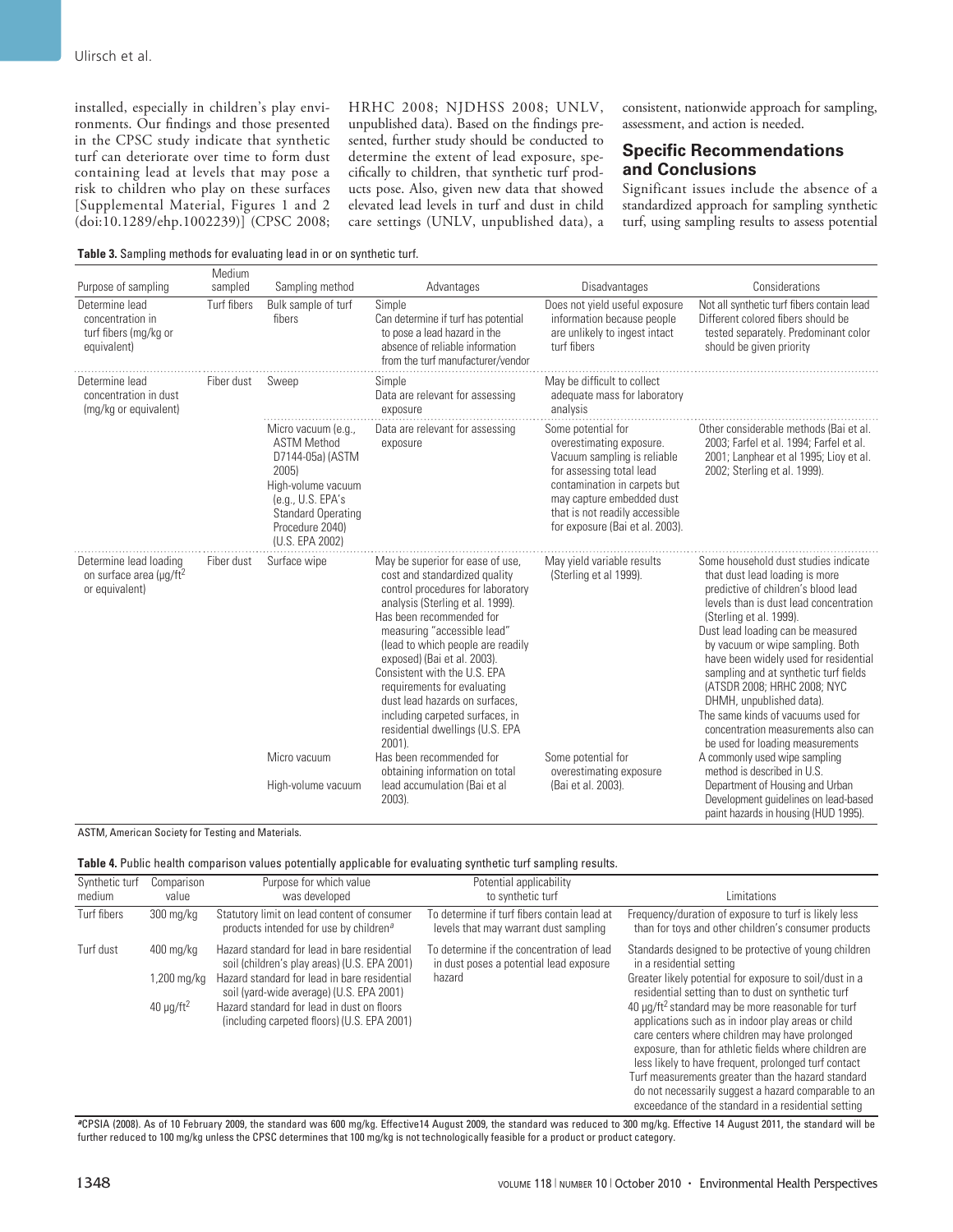installed, especially in children's play environments. Our findings and those presented in the CPSC study indicate that synthetic turf can deteriorate over time to form dust containing lead at levels that may pose a risk to children who play on these surfaces [Supplemental Material, Figures 1 and 2 (doi:10.1289/ehp.1002239)] (CPSC 2008;

HRHC 2008; NJDHSS 2008; UNLV, unpublished data). Based on the findings presented, further study should be conducted to determine the extent of lead exposure, specifically to children, that synthetic turf products pose. Also, given new data that showed elevated lead levels in turf and dust in child care settings (UNLV, unpublished data), a

consistent, nationwide approach for sampling, assessment, and action is needed.

# **Specific Recommendations and Conclusions**

Significant issues include the absence of a standardized approach for sampling synthetic turf, using sampling results to assess potential

**Table 3.** Sampling methods for evaluating lead in or on synthetic turf.

| Purpose of sampling                                                             | Medium<br>sampled | Sampling method                                                                                                                                                                       | Advantages                                                                                                                                                                                                                                                                                                                                                                                                                                                                                                                                               | Disadvantages                                                                                                                                                                                                                               | Considerations                                                                                                                                                                                                                                                                                                                                                                                                                                                                                                                                                                                                               |
|---------------------------------------------------------------------------------|-------------------|---------------------------------------------------------------------------------------------------------------------------------------------------------------------------------------|----------------------------------------------------------------------------------------------------------------------------------------------------------------------------------------------------------------------------------------------------------------------------------------------------------------------------------------------------------------------------------------------------------------------------------------------------------------------------------------------------------------------------------------------------------|---------------------------------------------------------------------------------------------------------------------------------------------------------------------------------------------------------------------------------------------|------------------------------------------------------------------------------------------------------------------------------------------------------------------------------------------------------------------------------------------------------------------------------------------------------------------------------------------------------------------------------------------------------------------------------------------------------------------------------------------------------------------------------------------------------------------------------------------------------------------------------|
| Determine lead<br>concentration in<br>turf fibers (mg/kg or<br>equivalent)      | Turf fibers       | Bulk sample of turf<br>fibers                                                                                                                                                         | Simple<br>Can determine if turf has potential<br>to pose a lead hazard in the<br>absence of reliable information<br>from the turf manufacturer/vendor                                                                                                                                                                                                                                                                                                                                                                                                    | Does not yield useful exposure<br>information because people<br>are unlikely to ingest intact<br>turf fibers                                                                                                                                | Not all synthetic turf fibers contain lead<br>Different colored fibers should be<br>tested separately. Predominant color<br>should be given priority                                                                                                                                                                                                                                                                                                                                                                                                                                                                         |
| Determine lead<br>concentration in dust<br>(mg/kg or equivalent)                | Fiber dust        | Sweep                                                                                                                                                                                 | Simple<br>Data are relevant for assessing<br>exposure                                                                                                                                                                                                                                                                                                                                                                                                                                                                                                    | May be difficult to collect<br>adequate mass for laboratory<br>analysis                                                                                                                                                                     |                                                                                                                                                                                                                                                                                                                                                                                                                                                                                                                                                                                                                              |
|                                                                                 |                   | Micro vacuum (e.g.,<br><b>ASTM Method</b><br>D7144-05a) (ASTM<br>2005)<br>High-volume vacuum<br>(e.g., U.S. EPA's)<br><b>Standard Operating</b><br>Procedure 2040)<br>(U.S. EPA 2002) | Data are relevant for assessing<br>exposure                                                                                                                                                                                                                                                                                                                                                                                                                                                                                                              | Some potential for<br>overestimating exposure.<br>Vacuum sampling is reliable<br>for assessing total lead<br>contamination in carpets but<br>may capture embedded dust<br>that is not readily accessible<br>for exposure (Bai et al. 2003). | Other considerable methods (Bai et al.<br>2003; Farfel et al. 1994; Farfel et al.<br>2001; Lanphear et al 1995; Lioy et al.<br>2002; Sterling et al. 1999).                                                                                                                                                                                                                                                                                                                                                                                                                                                                  |
| Determine lead loading<br>on surface area (µg/ft <sup>2</sup><br>or equivalent) | Fiber dust        | Surface wipe<br>Micro vacuum<br>High-volume vacuum                                                                                                                                    | May be superior for ease of use,<br>cost and standardized quality<br>control procedures for laboratory<br>analysis (Sterling et al. 1999).<br>Has been recommended for<br>measuring "accessible lead"<br>(lead to which people are readily<br>exposed) (Bai et al. 2003).<br>Consistent with the U.S. EPA<br>requirements for evaluating<br>dust lead hazards on surfaces,<br>including carpeted surfaces, in<br>residential dwellings (U.S. EPA<br>2001).<br>Has been recommended for<br>obtaining information on total<br>lead accumulation (Bai et al | May yield variable results<br>(Sterling et al 1999).<br>Some potential for<br>overestimating exposure<br>(Bai et al. 2003).                                                                                                                 | Some household dust studies indicate<br>that dust lead loading is more<br>predictive of children's blood lead<br>levels than is dust lead concentration<br>(Sterling et al. 1999).<br>Dust lead loading can be measured<br>by vacuum or wipe sampling. Both<br>have been widely used for residential<br>sampling and at synthetic turf fields<br>(ATSDR 2008; HRHC 2008; NYC<br>DHMH, unpublished data).<br>The same kinds of vacuums used for<br>concentration measurements also can<br>be used for loading measurements<br>A commonly used wipe sampling<br>method is described in U.S.<br>Department of Housing and Urban |
|                                                                                 |                   |                                                                                                                                                                                       | 2003).                                                                                                                                                                                                                                                                                                                                                                                                                                                                                                                                                   |                                                                                                                                                                                                                                             | Development guidelines on lead-based<br>paint hazards in housing (HUD 1995).                                                                                                                                                                                                                                                                                                                                                                                                                                                                                                                                                 |

ASTM, American Society for Testing and Materials.

| Table 4. Public health comparison values potentially applicable for evaluating synthetic turf sampling results. |  |  |
|-----------------------------------------------------------------------------------------------------------------|--|--|
|-----------------------------------------------------------------------------------------------------------------|--|--|

| Synthetic turf<br>medium | Comparison<br>value                                                | Purpose for which value<br>was developed                                                                                                                                                                                                                                              | Potential applicability<br>to synthetic turf                                                   | Limitations                                                                                                                                                                                                                                                                                                                                                                                                                                                                                                                                                                                                                                                        |
|--------------------------|--------------------------------------------------------------------|---------------------------------------------------------------------------------------------------------------------------------------------------------------------------------------------------------------------------------------------------------------------------------------|------------------------------------------------------------------------------------------------|--------------------------------------------------------------------------------------------------------------------------------------------------------------------------------------------------------------------------------------------------------------------------------------------------------------------------------------------------------------------------------------------------------------------------------------------------------------------------------------------------------------------------------------------------------------------------------------------------------------------------------------------------------------------|
| Turf fibers              | $300 \,\mathrm{mg/kg}$                                             | Statutory limit on lead content of consumer<br>products intended for use by children <sup>a</sup>                                                                                                                                                                                     | To determine if turf fibers contain lead at<br>levels that may warrant dust sampling           | Frequency/duration of exposure to turf is likely less<br>than for toys and other children's consumer products                                                                                                                                                                                                                                                                                                                                                                                                                                                                                                                                                      |
| Turf dust                | $400 \,\mathrm{mg/kg}$<br>.200 mg/kg<br>40 $\mu$ g/ft <sup>2</sup> | Hazard standard for lead in bare residential<br>soil (children's play areas) (U.S. EPA 2001)<br>Hazard standard for lead in bare residential<br>soil (yard-wide average) (U.S. EPA 2001)<br>Hazard standard for lead in dust on floors<br>(including carpeted floors) (U.S. EPA 2001) | To determine if the concentration of lead<br>in dust poses a potential lead exposure<br>hazard | Standards designed to be protective of young children<br>in a residential setting<br>Greater likely potential for exposure to soil/dust in a<br>residential setting than to dust on synthetic turf<br>40 µg/ft <sup>2</sup> standard may be more reasonable for turf<br>applications such as in indoor play areas or child<br>care centers where children may have prolonged<br>exposure, than for athletic fields where children are<br>less likely to have frequent, prolonged turf contact<br>Turf measurements greater than the hazard standard<br>do not necessarily suggest a hazard comparable to an<br>exceedance of the standard in a residential setting |

**<sup>a</sup>**CPSIA (2008). As of 10 February 2009, the standard was 600 mg/kg. Effective14 August 2009, the standard was reduced to 300 mg/kg. Effective 14 August 2011, the standard will be further reduced to 100 mg/kg unless the CPSC determines that 100 mg/kg is not technologically feasible for a product or product category.